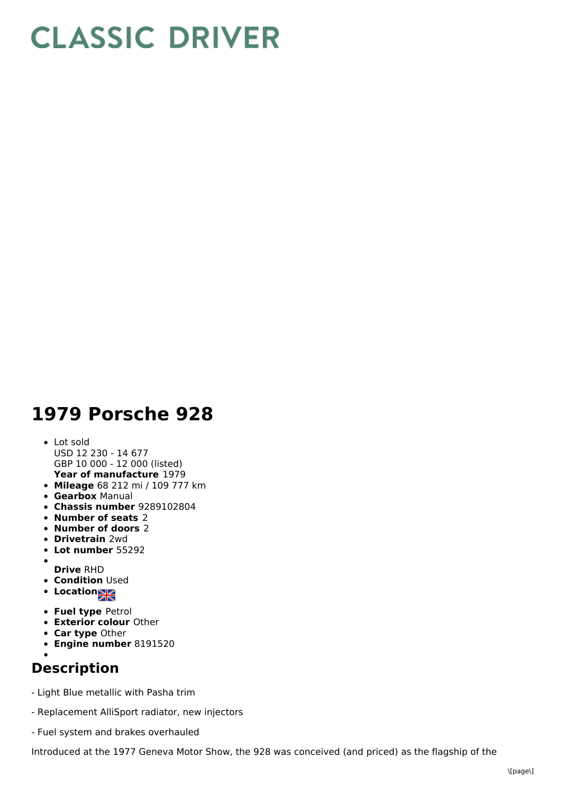## **CLASSIC DRIVER**

## **1979 Porsche 928**

- **Year of manufacture** 1979 Lot sold USD 12 230 - 14 677 GBP 10 000 - 12 000 (listed)
- **Mileage** 68 212 mi / 109 777 km
- **Gearbox** Manual
- **Chassis number** 9289102804
- **Number of seats** 2
- **Number of doors** 2
- **Drivetrain** 2wd
- **Lot number** 55292
- **Drive** RHD
- **Condition Used**
- **Location**
- **Fuel type** Petrol
- **Exterior colour** Other
- **Car type** Other
- **Engine number** 8191520
- 

## **Description**

- Light Blue metallic with Pasha trim
- Replacement AlliSport radiator, new injectors
- Fuel system and brakes overhauled

Introduced at the 1977 Geneva Motor Show, the 928 was conceived (and priced) as the flagship of the